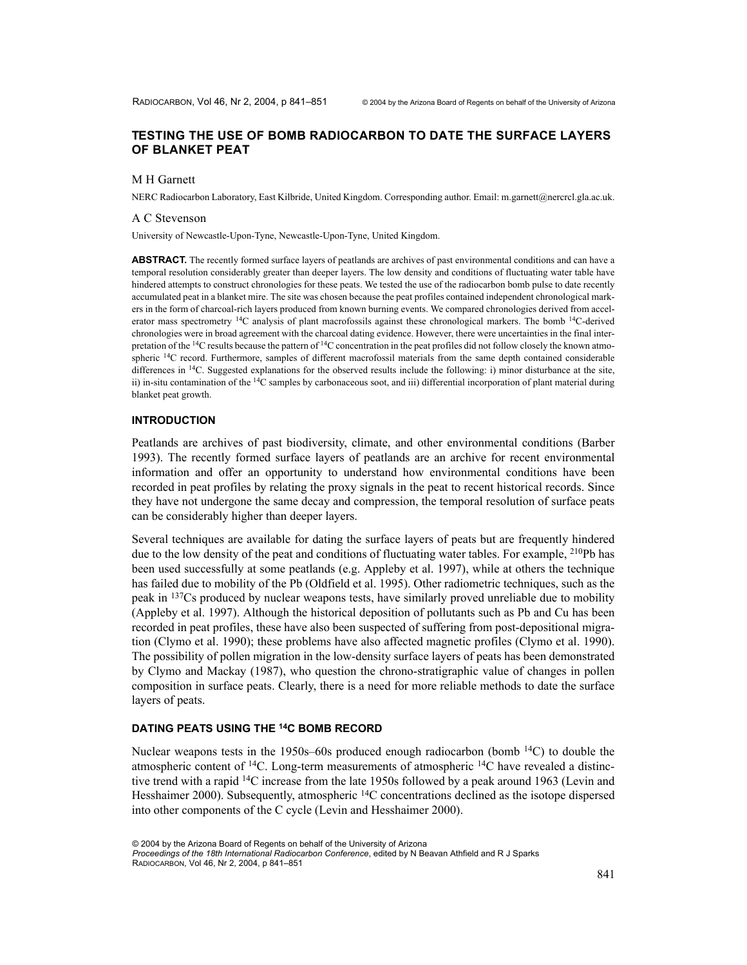## TESTING THE USE OF BOMB RADIOCARBON TO DATE THE SURFACE LAYERS OF BLANKET PEAT

#### M H Garnett

NERC Radiocarbon Laboratory, East Kilbride, United Kingdom. Corresponding author. Email: m.garnett@nercrcl.gla.ac.uk.

#### A C Stevenson

University of Newcastle-Upon-Tyne, Newcastle-Upon-Tyne, United Kingdom.

**ABSTRACT.** The recently formed surface layers of peatlands are archives of past environmental conditions and can have a temporal resolution considerably greater than deeper layers. The low density and conditions of fluctuating water table have hindered attempts to construct chronologies for these peats. We tested the use of the radiocarbon bomb pulse to date recently accumulated peat in a blanket mire. The site was chosen because the peat profiles contained independent chronological markers in the form of charcoal-rich layers produced from known burning events. We compared chronologies derived from accelerator mass spectrometry <sup>14</sup>C analysis of plant macrofossils against these chronological markers. The bomb <sup>14</sup>C-derived chronologies were in broad agreement with the charcoal dating evidence. However, there were uncertainties in the final interpretation of the <sup>14</sup>C results because the pattern of <sup>14</sup>C concentration in the peat profiles did not follow closely the known atmospheric <sup>14</sup>C record. Furthermore, samples of different macrofossil materials from the same depth contained considerable differences in <sup>14</sup>C. Suggested explanations for the observed results include the following: i) minor disturbance at the site, ii) in-situ contamination of the <sup>14</sup>C samples by carbonaceous soot, and iii) differential incorporation of plant material during blanket peat growth.

#### **INTRODUCTION**

Peatlands are archives of past biodiversity, climate, and other environmental conditions (Barber 1993). The recently formed surface layers of peatlands are an archive for recent environmental information and offer an opportunity to understand how environmental conditions have been recorded in peat profiles by relating the proxy signals in the peat to recent historical records. Since they have not undergone the same decay and compression, the temporal resolution of surface peats can be considerably higher than deeper layers.

Several techniques are available for dating the surface layers of peats but are frequently hindered due to the low density of the peat and conditions of fluctuating water tables. For example, <sup>210</sup>Pb has been used successfully at some peatlands (e.g. Appleby et al. 1997), while at others the technique has failed due to mobility of the Pb (Oldfield et al. 1995). Other radiometric techniques, such as the peak in <sup>137</sup>Cs produced by nuclear weapons tests, have similarly proved unreliable due to mobility (Appleby et al. 1997). Although the historical deposition of pollutants such as Pb and Cu has been recorded in peat profiles, these have also been suspected of suffering from post-depositional migration (Clymo et al. 1990); these problems have also affected magnetic profiles (Clymo et al. 1990). The possibility of pollen migration in the low-density surface layers of peats has been demonstrated by Clymo and Mackay (1987), who question the chrono-stratigraphic value of changes in pollen composition in surface peats. Clearly, there is a need for more reliable methods to date the surface layers of peats.

#### DATING PEATS USING THE <sup>14</sup>C BOMB RECORD

Nuclear weapons tests in the 1950s–60s produced enough radiocarbon (bomb  $^{14}$ C) to double the atmospheric content of  $^{14}C$ . Long-term measurements of atmospheric  $^{14}C$  have revealed a distinctive trend with a rapid <sup>14</sup>C increase from the late 1950s followed by a peak around 1963 (Levin and Hesshaimer 2000). Subsequently, atmospheric <sup>14</sup>C concentrations declined as the isotope dispersed into other components of the C cycle (Levin and Hesshaimer 2000).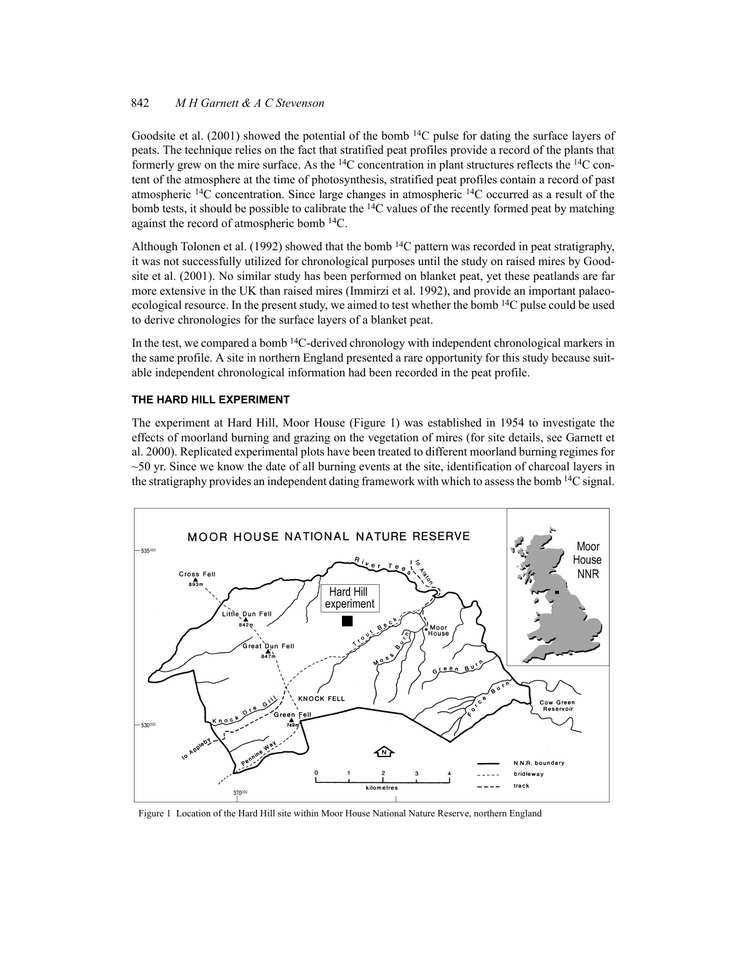#### 842 M H Garnett & A C Stevenson

Goodsite et al. (2001) showed the potential of the bomb  $14C$  pulse for dating the surface layers of peats. The technique relies on the fact that stratified peat profiles provide a record of the plants that formerly grew on the mire surface. As the <sup>14</sup>C concentration in plant structures reflects the <sup>14</sup>C content of the atmosphere at the time of photosynthesis, stratified peat profiles contain a record of past atmospheric <sup>14</sup>C concentration. Since large changes in atmospheric <sup>14</sup>C occurred as a result of the bomb tests, it should be possible to calibrate the <sup>14</sup>C values of the recently formed peat by matching against the record of atmospheric bomb <sup>14</sup>C.

Although Tolonen et al. (1992) showed that the bomb  $^{14}C$  pattern was recorded in peat stratigraphy, it was not successfully utilized for chronological purposes until the study on raised mires by Goodsite et al. (2001). No similar study has been performed on blanket peat, yet these peatlands are far more extensive in the UK than raised mires (Immirzi et al. 1992), and provide an important palaeoecological resource. In the present study, we aimed to test whether the bomb  $^{14}$ C pulse could be used to derive chronologies for the surface layers of a blanket peat.

In the test, we compared a bomb  $14C$ -derived chronology with independent chronological markers in the same profile. A site in northern England presented a rare opportunity for this study because suitable independent chronological information had been recorded in the peat profile.

## THE HARD HILL EXPERIMENT

The experiment at Hard Hill, Moor House (Figure 1) was established in 1954 to investigate the effects of moorland burning and grazing on the vegetation of mires (for site details, see Garnett et al. 2000). Replicated experimental plots have been treated to different moorland burning regimes for  $\sim$  50 yr. Since we know the date of all burning events at the site, identification of charcoal layers in the stratigraphy provides an independent dating framework with which to assess the bomb <sup>14</sup>C signal.



Figure 1 Location of the Hard Hill site within Moor House National Nature Reserve, northern England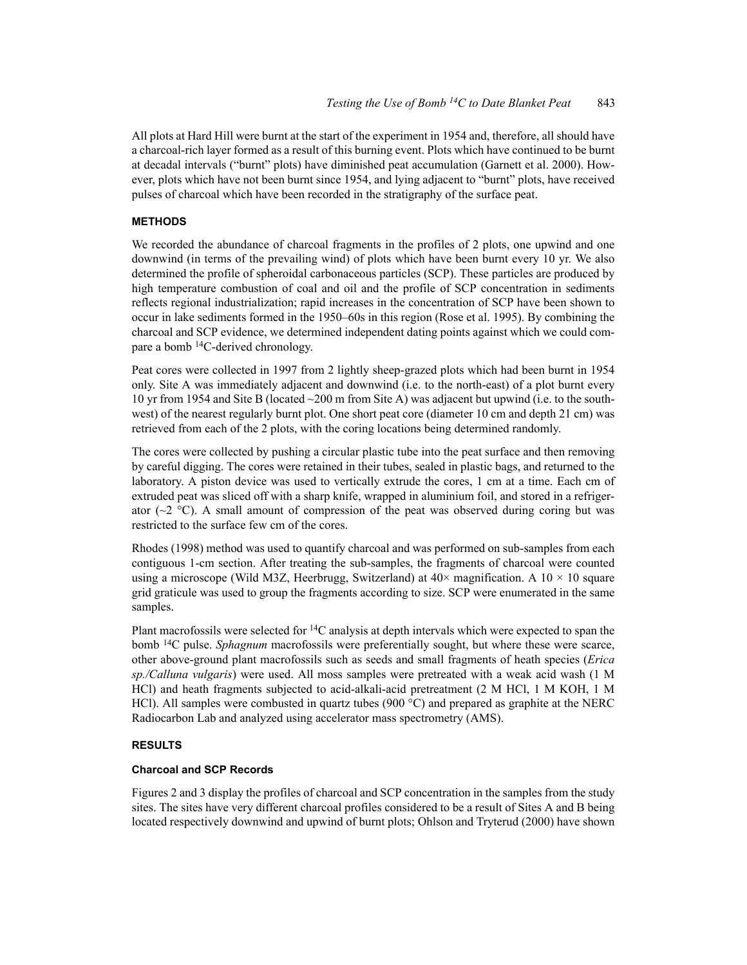All plots at Hard Hill were burnt at the start of the experiment in 1954 and, therefore, all should have a charcoal-rich layer formed as a result of this burning event. Plots which have continued to be burnt at decadal intervals ("burnt" plots) have diminished peat accumulation (Garnett et al. 2000). However, plots which have not been burnt since 1954, and lying adjacent to "burnt" plots, have received pulses of charcoal which have been recorded in the stratigraphy of the surface peat.

# **METHODS**

We recorded the abundance of charcoal fragments in the profiles of 2 plots, one upwind and one downwind (in terms of the prevailing wind) of plots which have been burnt every 10 yr. We also determined the profile of spheroidal carbonaceous particles (SCP). These particles are produced by high temperature combustion of coal and oil and the profile of SCP concentration in sediments reflects regional industrialization; rapid increases in the concentration of SCP have been shown to occur in lake sediments formed in the 1950–60s in this region (Rose et al. 1995). By combining the charcoal and SCP evidence, we determined independent dating points against which we could compare a bomb <sup>14</sup>C-derived chronology.

Peat cores were collected in 1997 from 2 lightly sheep-grazed plots which had been burnt in 1954 only. Site A was immediately adjacent and downwind (i.e. to the north-east) of a plot burnt every 10 yr from 1954 and Site B (located  $\sim$  200 m from Site A) was adjacent but upwind (i.e. to the southwest) of the nearest regularly burnt plot. One short peat core (diameter 10 cm and depth 21 cm) was retrieved from each of the 2 plots, with the coring locations being determined randomly.

The cores were collected by pushing a circular plastic tube into the peat surface and then removing by careful digging. The cores were retained in their tubes, sealed in plastic bags, and returned to the laboratory. A piston device was used to vertically extrude the cores, 1 cm at a time. Each cm of extruded peat was sliced off with a sharp knife, wrapped in aluminium foil, and stored in a refrigerator ( $\sim$ 2 °C). A small amount of compression of the peat was observed during coring but was restricted to the surface few cm of the cores.

Rhodes (1998) method was used to quantify charcoal and was performed on sub-samples from each contiguous 1-cm section. After treating the sub-samples, the fragments of charcoal were counted using a microscope (Wild M3Z, Heerbrugg, Switzerland) at  $40\times$  magnification. A  $10\times10$  square grid graticule was used to group the fragments according to size. SCP were enumerated in the same samples.

Plant macrofossils were selected for <sup>14</sup>C analysis at depth intervals which were expected to span the bomb <sup>14</sup>C pulse. *Sphagnum* macrofossils were preferentially sought, but where these were scarce, other above-ground plant macrofossils such as seeds and small fragments of heath species (*Erica* sp./Calluna vulgaris) were used. All moss samples were pretreated with a weak acid wash (1 M HCl) and heath fragments subjected to acid-alkali-acid pretreatment (2 M HCl, 1 M KOH, 1 M HCl). All samples were combusted in quartz tubes (900  $^{\circ}$ C) and prepared as graphite at the NERC Radiocarbon Lab and analyzed using accelerator mass spectrometry (AMS).

# **RESULTS**

# **Charcoal and SCP Records**

Figures 2 and 3 display the profiles of charcoal and SCP concentration in the samples from the study sites. The sites have very different charcoal profiles considered to be a result of Sites A and B being located respectively downwind and upwind of burnt plots; Ohlson and Tryterud (2000) have shown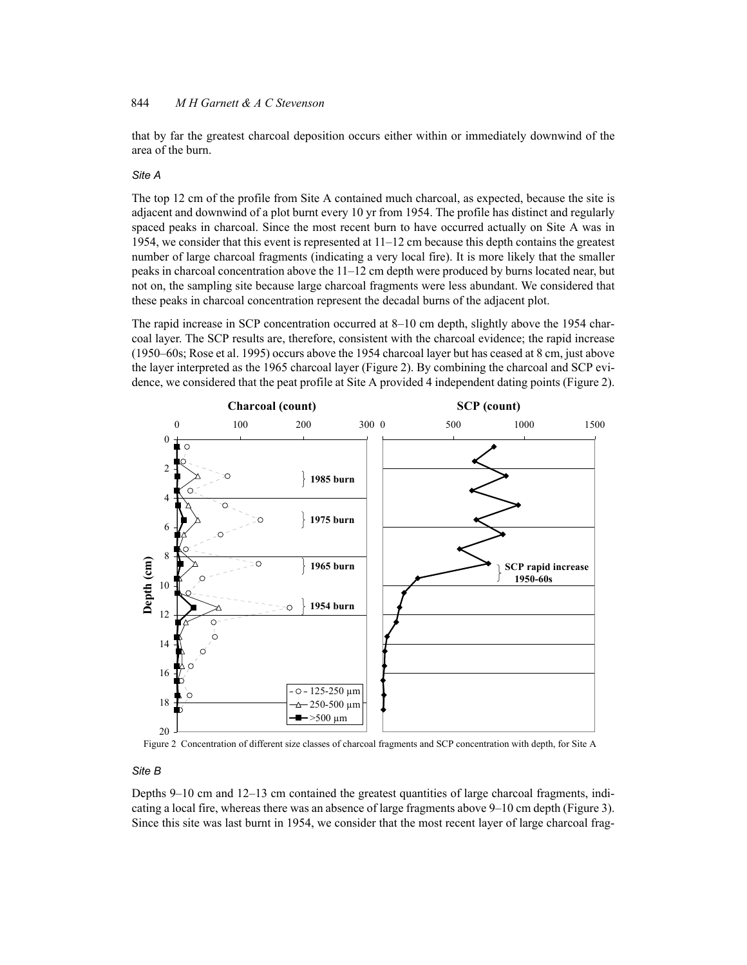that by far the greatest charcoal deposition occurs either within or immediately downwind of the area of the burn.

#### Site A

The top 12 cm of the profile from Site A contained much charcoal, as expected, because the site is adjacent and downwind of a plot burnt every 10 yr from 1954. The profile has distinct and regularly spaced peaks in charcoal. Since the most recent burn to have occurred actually on Site A was in 1954, we consider that this event is represented at  $11-12$  cm because this depth contains the greatest number of large charcoal fragments (indicating a very local fire). It is more likely that the smaller peaks in charcoal concentration above the 11–12 cm depth were produced by burns located near, but not on, the sampling site because large charcoal fragments were less abundant. We considered that these peaks in charcoal concentration represent the decadal burns of the adjacent plot.

The rapid increase in SCP concentration occurred at 8–10 cm depth, slightly above the 1954 charcoal layer. The SCP results are, therefore, consistent with the charcoal evidence; the rapid increase (1950–60s; Rose et al. 1995) occurs above the 1954 charcoal layer but has ceased at 8 cm, just above the layer interpreted as the 1965 charcoal layer (Figure 2). By combining the charcoal and SCP evidence, we considered that the peat profile at Site A provided 4 independent dating points (Figure 2).



Figure 2 Concentration of different size classes of charcoal fragments and SCP concentration with depth, for Site A

# Site B

Depths 9–10 cm and 12–13 cm contained the greatest quantities of large charcoal fragments, indicating a local fire, whereas there was an absence of large fragments above 9–10 cm depth (Figure 3). Since this site was last burnt in 1954, we consider that the most recent layer of large charcoal frag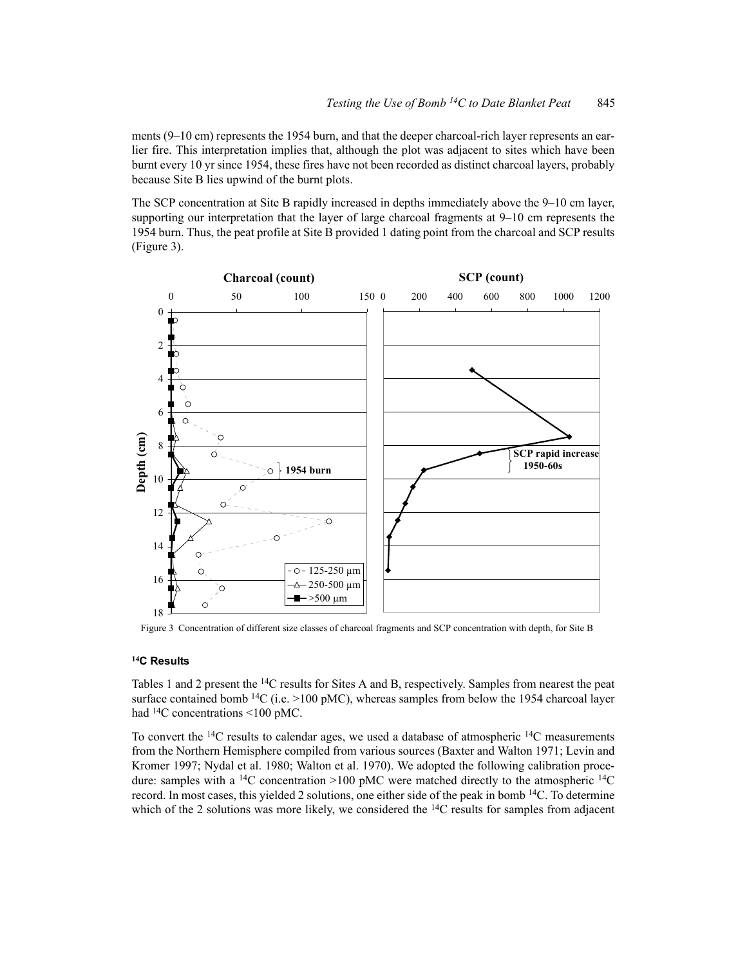ments (9–10 cm) represents the 1954 burn, and that the deeper charcoal-rich layer represents an earlier fire. This interpretation implies that, although the plot was adjacent to sites which have been burnt every 10 yr since 1954, these fires have not been recorded as distinct charcoal layers, probably because Site B lies upwind of the burnt plots.

The SCP concentration at Site B rapidly increased in depths immediately above the 9–10 cm layer. supporting our interpretation that the layer of large charcoal fragments at  $9-10$  cm represents the 1954 burn. Thus, the peat profile at Site B provided 1 dating point from the charcoal and SCP results (Figure 3).



Figure 3 Concentration of different size classes of charcoal fragments and SCP concentration with depth, for Site B

#### <sup>14</sup>C Results

Tables 1 and 2 present the <sup>14</sup>C results for Sites A and B, respectively. Samples from nearest the peat surface contained bomb  $^{14}C$  (i.e. >100 pMC), whereas samples from below the 1954 charcoal layer had  $^{14}$ C concentrations <100 pMC.

To convert the <sup>14</sup>C results to calendar ages, we used a database of atmospheric <sup>14</sup>C measurements from the Northern Hemisphere compiled from various sources (Baxter and Walton 1971; Levin and Kromer 1997; Nydal et al. 1980; Walton et al. 1970). We adopted the following calibration procedure: samples with a <sup>14</sup>C concentration >100 pMC were matched directly to the atmospheric <sup>14</sup>C record. In most cases, this yielded 2 solutions, one either side of the peak in bomb <sup>14</sup>C. To determine which of the 2 solutions was more likely, we considered the  $^{14}C$  results for samples from adjacent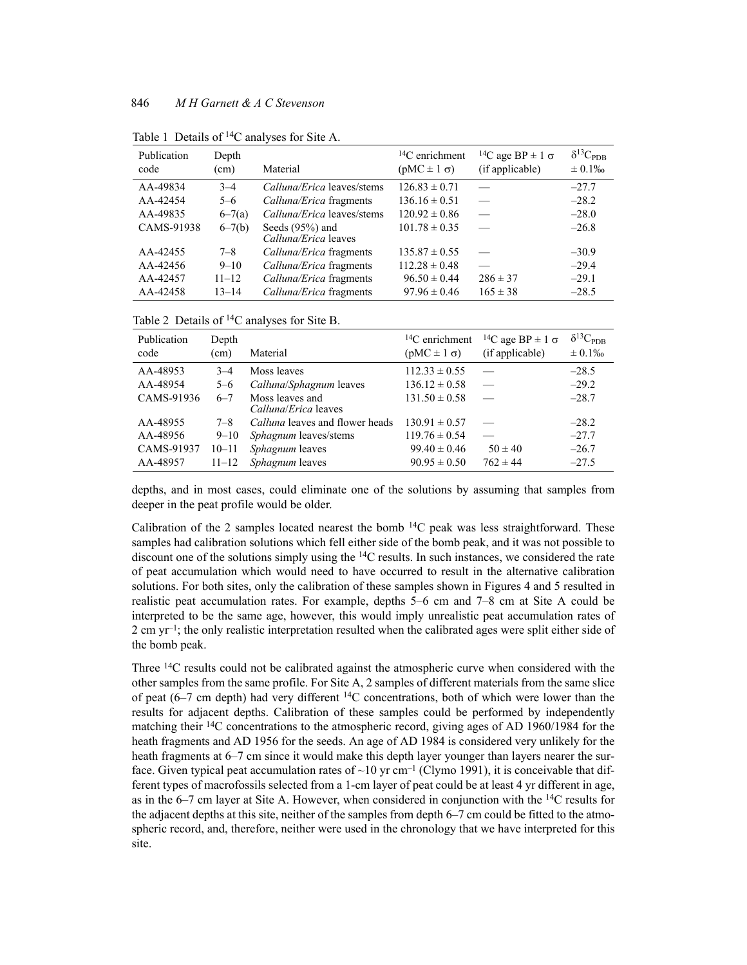| Publication<br>code | Depth<br>(cm) | Material                                  | ${}^{14}C$ enrichment<br>$(pMC \pm 1 \sigma)$ | <sup>14</sup> C age BP $\pm$ 1 $\sigma$<br>(if applicable) | $\delta^{13}C_{\rm PDB}$<br>$\pm 0.1\%$ |
|---------------------|---------------|-------------------------------------------|-----------------------------------------------|------------------------------------------------------------|-----------------------------------------|
| AA-49834            | $3 - 4$       | <i>Calluna/Erica</i> leaves/stems         | $126.83 \pm 0.71$                             |                                                            | $-27.7$                                 |
| AA-42454            | $5 - 6$       | <i>Calluna/Erica</i> fragments            | $136.16 \pm 0.51$                             |                                                            | $-28.2$                                 |
| AA-49835            | $6 - 7(a)$    | Calluna/Erica leaves/stems                | $120.92 \pm 0.86$                             |                                                            | $-28.0$                                 |
| CAMS-91938          | $6 - 7(b)$    | Seeds $(95%)$ and<br>Calluna/Erica leaves | $101.78 \pm 0.35$                             |                                                            | $-26.8$                                 |
| AA-42455            | $7 - 8$       | Calluna/Erica fragments                   | $135.87 \pm 0.55$                             |                                                            | $-30.9$                                 |
| AA-42456            | $9 - 10$      | Calluna/Erica fragments                   | $112.28 \pm 0.48$                             |                                                            | $-29.4$                                 |
| AA-42457            | $11 - 12$     | Calluna/Erica fragments                   | $96.50 \pm 0.44$                              | $286 \pm 37$                                               | $-29.1$                                 |
| AA-42458            | $13 - 14$     | Calluna/Erica fragments                   | $97.96 \pm 0.46$                              | $165 \pm 38$                                               | $-28.5$                                 |

Table 1 Details of <sup>14</sup>C analyses for Site A.

Table 2 Details of <sup>14</sup>C analyses for Site B.

| Publication<br>code | Depth<br>(cm) | Material                                       | ${}^{14}C$ enrichment<br>$(pMC \pm 1 \sigma)$ | <sup>14</sup> C age BP $\pm$ 1 $\sigma$<br>(if applicable) | $\delta^{13}C_{\rm PDB}$<br>$\pm 0.1\%$ |
|---------------------|---------------|------------------------------------------------|-----------------------------------------------|------------------------------------------------------------|-----------------------------------------|
| AA-48953            | $3 - 4$       | Moss leaves                                    | $112.33 \pm 0.55$                             |                                                            | $-28.5$                                 |
| AA-48954            | $5 - 6$       | Calluna/Sphagnum leaves                        | $136.12 \pm 0.58$                             |                                                            | $-29.2$                                 |
| CAMS-91936          | $6 - 7$       | Moss leaves and<br><i>Calluna/Erica</i> leaves | $131.50 \pm 0.58$                             |                                                            | $-28.7$                                 |
| AA-48955            | $7 - 8$       | <i>Calluna</i> leaves and flower heads         | $130.91 \pm 0.57$                             |                                                            | $-28.2$                                 |
| AA-48956            | $9 - 10$      | <i>Sphagnum</i> leaves/stems                   | $119.76 \pm 0.54$                             |                                                            | $-27.7$                                 |
| CAMS-91937          | $10 - 11$     | <i>Sphagnum</i> leaves                         | $99.40 \pm 0.46$                              | $50 \pm 40$                                                | $-26.7$                                 |
| AA-48957            | $11 - 12$     | Sphagnum leaves                                | $90.95 \pm 0.50$                              | $762 \pm 44$                                               | $-27.5$                                 |

depths, and in most cases, could eliminate one of the solutions by assuming that samples from deeper in the peat profile would be older.

Calibration of the 2 samples located nearest the bomb  $14C$  peak was less straightforward. These samples had calibration solutions which fell either side of the bomb peak, and it was not possible to discount one of the solutions simply using the  $^{14}C$  results. In such instances, we considered the rate of peat accumulation which would need to have occurred to result in the alternative calibration solutions. For both sites, only the calibration of these samples shown in Figures 4 and 5 resulted in realistic peat accumulation rates. For example, depths 5–6 cm and 7–8 cm at Site A could be interpreted to be the same age, however, this would imply unrealistic peat accumulation rates of 2 cm  $yr^{-1}$ ; the only realistic interpretation resulted when the calibrated ages were split either side of the bomb peak.

Three <sup>14</sup>C results could not be calibrated against the atmospheric curve when considered with the other samples from the same profile. For Site A, 2 samples of different materials from the same slice of peat  $(6-7 \text{ cm depth})$  had very different <sup>14</sup>C concentrations, both of which were lower than the results for adjacent depths. Calibration of these samples could be performed by independently matching their <sup>14</sup>C concentrations to the atmospheric record, giving ages of AD 1960/1984 for the heath fragments and AD 1956 for the seeds. An age of AD 1984 is considered very unlikely for the heath fragments at 6–7 cm since it would make this depth layer younger than layers nearer the surface. Given typical peat accumulation rates of ~10 yr cm<sup>-1</sup> (Clymo 1991), it is conceivable that different types of macrofossils selected from a 1-cm layer of peat could be at least 4 yr different in age, as in the 6–7 cm layer at Site A. However, when considered in conjunction with the  $^{14}C$  results for the adjacent depths at this site, neither of the samples from depth 6–7 cm could be fitted to the atmospheric record, and, therefore, neither were used in the chronology that we have interpreted for this site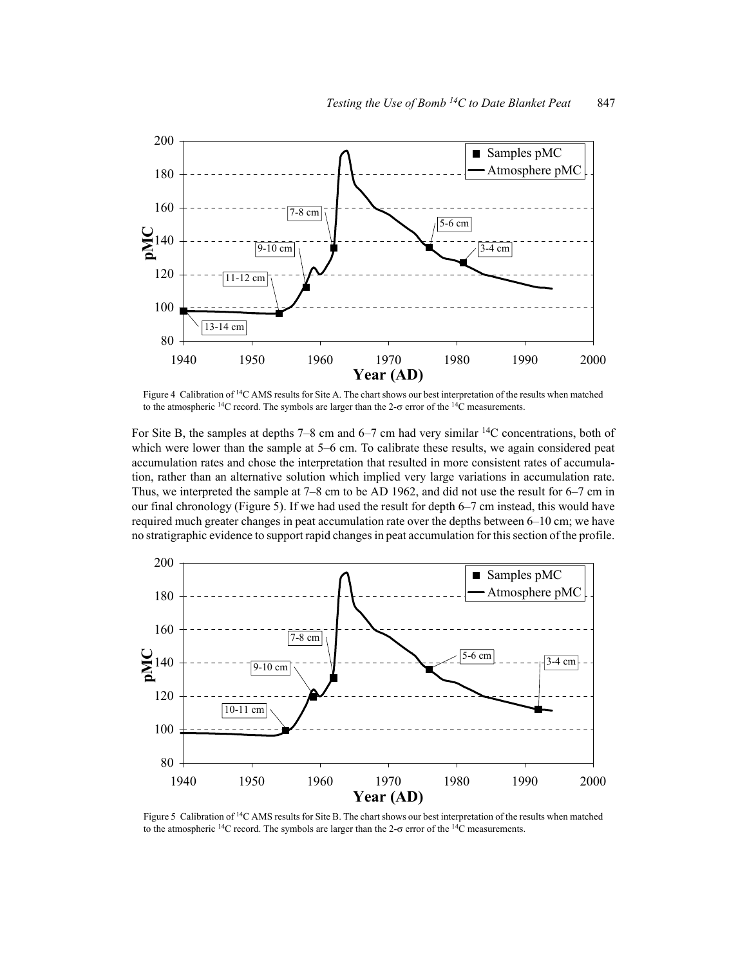

Figure 4 Calibration of <sup>14</sup>C AMS results for Site A. The chart shows our best interpretation of the results when matched to the atmospheric <sup>14</sup>C record. The symbols are larger than the 2- $\sigma$  error of the <sup>14</sup>C measurements.

For Site B, the samples at depths 7–8 cm and 6–7 cm had very similar  $^{14}$ C concentrations, both of which were lower than the sample at 5–6 cm. To calibrate these results, we again considered peat accumulation rates and chose the interpretation that resulted in more consistent rates of accumulation, rather than an alternative solution which implied very large variations in accumulation rate. Thus, we interpreted the sample at  $7-8$  cm to be AD 1962, and did not use the result for  $6-7$  cm in our final chronology (Figure 5). If we had used the result for depth 6–7 cm instead, this would have required much greater changes in peat accumulation rate over the depths between 6–10 cm; we have no stratigraphic evidence to support rapid changes in peat accumulation for this section of the profile.



Figure 5 Calibration of <sup>14</sup>C AMS results for Site B. The chart shows our best interpretation of the results when matched to the atmospheric <sup>14</sup>C record. The symbols are larger than the 2- $\sigma$  error of the <sup>14</sup>C measurements.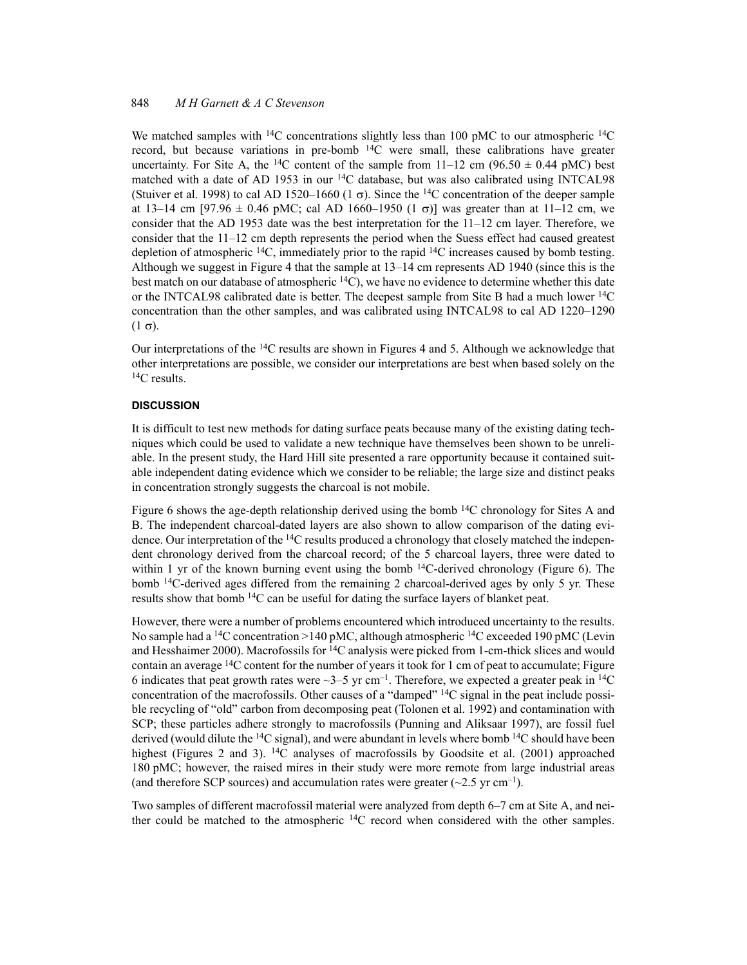We matched samples with <sup>14</sup>C concentrations slightly less than 100 pMC to our atmospheric <sup>14</sup>C record, but because variations in pre-bomb <sup>14</sup>C were small, these calibrations have greater uncertainty. For Site A, the <sup>14</sup>C content of the sample from 11–12 cm (96.50  $\pm$  0.44 pMC) best matched with a date of AD 1953 in our <sup>14</sup>C database, but was also calibrated using INTCAL98 (Stuiver et al. 1998) to cal AD 1520–1660 (1  $\sigma$ ). Since the <sup>14</sup>C concentration of the deeper sample at 13–14 cm [97.96  $\pm$  0.46 pMC; cal AD 1660–1950 (1  $\sigma$ )] was greater than at 11–12 cm, we consider that the AD 1953 date was the best interpretation for the  $11-12$  cm layer. Therefore, we consider that the 11–12 cm depth represents the period when the Suess effect had caused greatest depletion of atmospheric  ${}^{14}C$ , immediately prior to the rapid  ${}^{14}C$  increases caused by bomb testing. Although we suggest in Figure 4 that the sample at 13–14 cm represents AD 1940 (since this is the best match on our database of atmospheric  $^{14}$ C), we have no evidence to determine whether this date or the INTCAL98 calibrated date is better. The deepest sample from Site B had a much lower  ${}^{14}C$ concentration than the other samples, and was calibrated using INTCAL98 to cal AD 1220–1290  $(1 \sigma)$ .

Our interpretations of the  $^{14}$ C results are shown in Figures 4 and 5. Although we acknowledge that other interpretations are possible, we consider our interpretations are best when based solely on the  ${}^{14}C$  results.

## **DISCUSSION**

It is difficult to test new methods for dating surface peats because many of the existing dating techniques which could be used to validate a new technique have themselves been shown to be unreliable. In the present study, the Hard Hill site presented a rare opportunity because it contained suitable independent dating evidence which we consider to be reliable; the large size and distinct peaks in concentration strongly suggests the charcoal is not mobile.

Figure 6 shows the age-depth relationship derived using the bomb  $^{14}$ C chronology for Sites A and B. The independent charcoal-dated layers are also shown to allow comparison of the dating evidence. Our interpretation of the  ${}^{14}C$  results produced a chronology that closely matched the independent chronology derived from the charcoal record; of the 5 charcoal layers, three were dated to within 1 yr of the known burning event using the bomb  $14C$ -derived chronology (Figure 6). The bomb <sup>14</sup>C-derived ages differed from the remaining 2 charcoal-derived ages by only 5 yr. These results show that bomb <sup>14</sup>C can be useful for dating the surface layers of blanket peat.

However, there were a number of problems encountered which introduced uncertainty to the results. No sample had a <sup>14</sup>C concentration > 140 pMC, although atmospheric <sup>14</sup>C exceeded 190 pMC (Levin and Hesshaimer 2000). Macrofossils for  $14C$  analysis were picked from 1-cm-thick slices and would contain an average  $^{14}$ C content for the number of years it took for 1 cm of peat to accumulate; Figure 6 indicates that peat growth rates were  $\sim$ 3–5 yr cm<sup>-1</sup>. Therefore, we expected a greater peak in <sup>14</sup>C concentration of the macrofossils. Other causes of a "damped"  $^{14}$ C signal in the peat include possible recycling of "old" carbon from decomposing peat (Tolonen et al. 1992) and contamination with SCP; these particles adhere strongly to macrofossils (Punning and Aliksaar 1997), are fossil fuel derived (would dilute the <sup>14</sup>C signal), and were abundant in levels where bomb <sup>14</sup>C should have been highest (Figures 2 and 3). <sup>14</sup>C analyses of macrofossils by Goodsite et al. (2001) approached 180 pMC; however, the raised mires in their study were more remote from large industrial areas (and therefore SCP sources) and accumulation rates were greater  $(\sim 2.5 \text{ yr cm}^{-1})$ .

Two samples of different macrofossil material were analyzed from depth 6–7 cm at Site A, and neither could be matched to the atmospheric <sup>14</sup>C record when considered with the other samples.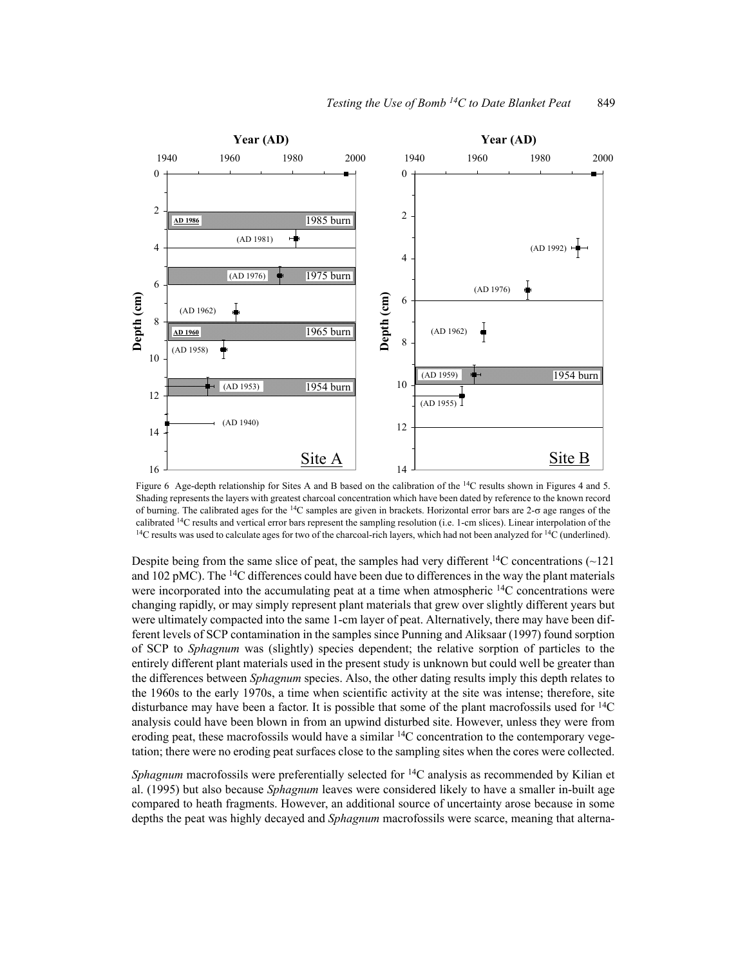

Figure 6 Age-depth relationship for Sites A and B based on the calibration of the  $14C$  results shown in Figures 4 and 5. Shading represents the layers with greatest charcoal concentration which have been dated by reference to the known record of burning. The calibrated ages for the  $14C$  samples are given in brackets. Horizontal error bars are 2- $\sigma$  age ranges of the calibrated <sup>14</sup>C results and vertical error bars represent the sampling resolution (i.e. 1-cm slices). Linear interpolation of the <sup>14</sup>C results was used to calculate ages for two of the charcoal-rich layers, which had not been analyzed for <sup>14</sup>C (underlined).

Despite being from the same slice of peat, the samples had very different  ${}^{14}C$  concentrations (~121 and 102 pMC). The <sup>14</sup>C differences could have been due to differences in the way the plant materials were incorporated into the accumulating peat at a time when atmospheric  $^{14}C$  concentrations were changing rapidly, or may simply represent plant materials that grew over slightly different years but were ultimately compacted into the same 1-cm layer of peat. Alternatively, there may have been different levels of SCP contamination in the samples since Punning and Aliksaar (1997) found sorption of SCP to Sphagnum was (slightly) species dependent; the relative sorption of particles to the entirely different plant materials used in the present study is unknown but could well be greater than the differences between *Sphagnum* species. Also, the other dating results imply this depth relates to the 1960s to the early 1970s, a time when scientific activity at the site was intense; therefore, site disturbance may have been a factor. It is possible that some of the plant macrofossils used for  ${}^{14}C$ analysis could have been blown in from an upwind disturbed site. However, unless they were from eroding peat, these macrofossils would have a similar <sup>14</sup>C concentration to the contemporary vegetation; there were no eroding peat surfaces close to the sampling sites when the cores were collected.

Sphagnum macrofossils were preferentially selected for <sup>14</sup>C analysis as recommended by Kilian et al. (1995) but also because *Sphagnum* leaves were considered likely to have a smaller in-built age compared to heath fragments. However, an additional source of uncertainty arose because in some depths the peat was highly decayed and *Sphagnum* macrofossils were scarce, meaning that alterna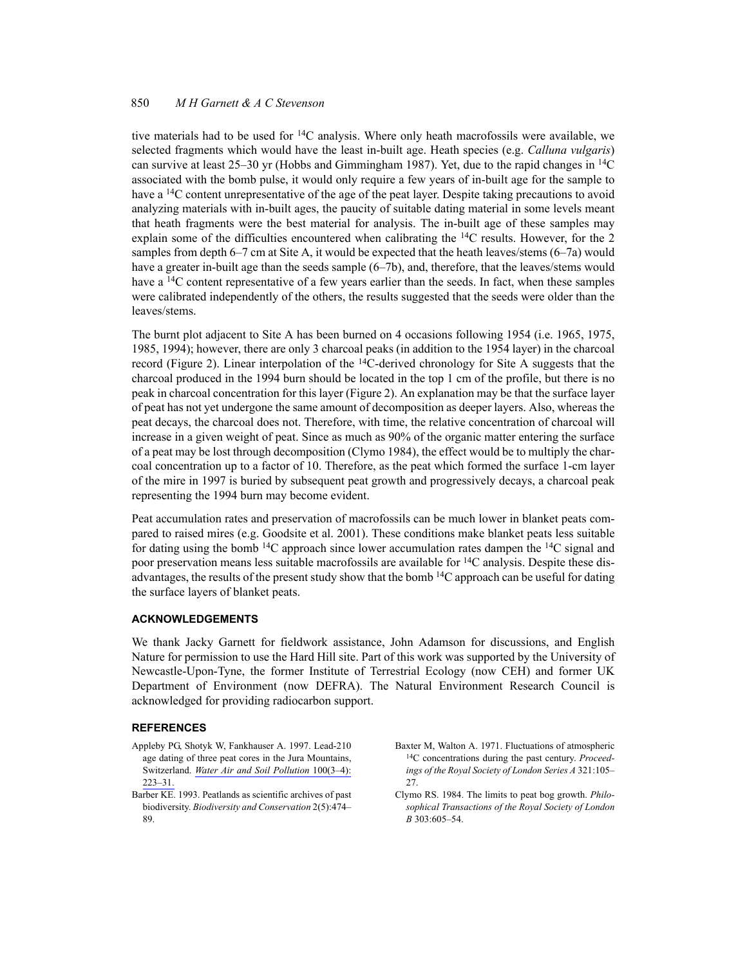tive materials had to be used for  ${}^{14}C$  analysis. Where only heath macrofossils were available, we selected fragments which would have the least in-built age. Heath species (e.g. Calluna vulgaris) can survive at least 25–30 yr (Hobbs and Gimmingham 1987). Yet, due to the rapid changes in <sup>14</sup>C associated with the bomb pulse, it would only require a few years of in-built age for the sample to have a <sup>14</sup>C content unrepresentative of the age of the peat layer. Despite taking precautions to avoid analyzing materials with in-built ages, the paucity of suitable dating material in some levels meant that heath fragments were the best material for analysis. The in-built age of these samples may explain some of the difficulties encountered when calibrating the  $^{14}$ C results. However, for the 2 samples from depth 6–7 cm at Site A, it would be expected that the heath leaves/stems (6–7a) would have a greater in-built age than the seeds sample (6–7b), and, therefore, that the leaves/stems would have a <sup>14</sup>C content representative of a few years earlier than the seeds. In fact, when these samples were calibrated independently of the others, the results suggested that the seeds were older than the leaves/stems.

The burnt plot adjacent to Site A has been burned on 4 occasions following 1954 (i.e. 1965, 1975, 1985, 1994); however, there are only 3 charcoal peaks (in addition to the 1954 layer) in the charcoal record (Figure 2). Linear interpolation of the <sup>14</sup>C-derived chronology for Site A suggests that the charcoal produced in the 1994 burn should be located in the top 1 cm of the profile, but there is no peak in charcoal concentration for this layer (Figure 2). An explanation may be that the surface layer of peat has not yet undergone the same amount of decomposition as deeper layers. Also, whereas the peat decays, the charcoal does not. Therefore, with time, the relative concentration of charcoal will increase in a given weight of peat. Since as much as 90% of the organic matter entering the surface of a peat may be lost through decomposition (Clymo 1984), the effect would be to multiply the charcoal concentration up to a factor of 10. Therefore, as the peat which formed the surface 1-cm layer of the mire in 1997 is buried by subsequent peat growth and progressively decays, a charcoal peak representing the 1994 burn may become evident.

Peat accumulation rates and preservation of macrofossils can be much lower in blanket peats compared to raised mires (e.g. Goodsite et al. 2001). These conditions make blanket peats less suitable for dating using the bomb <sup>14</sup>C approach since lower accumulation rates dampen the <sup>14</sup>C signal and poor preservation means less suitable macrofossils are available for <sup>14</sup>C analysis. Despite these disadvantages, the results of the present study show that the bomb  $^{14}$ C approach can be useful for dating the surface layers of blanket peats.

# **ACKNOWLEDGEMENTS**

We thank Jacky Garnett for fieldwork assistance. John Adamson for discussions, and English Nature for permission to use the Hard Hill site. Part of this work was supported by the University of Newcastle-Upon-Tyne, the former Institute of Terrestrial Ecology (now CEH) and former UK Department of Environment (now DEFRA). The Natural Environment Research Council is acknowledged for providing radiocarbon support.

#### **REFERENCES**

- Appleby PG, Shotyk W, Fankhauser A. 1997. Lead-210 age dating of three peat cores in the Jura Mountains. Switzerland. Water Air and Soil Pollution 100(3-4):  $223 - 31$ .
- Barber KE. 1993. Peatlands as scientific archives of past biodiversity. Biodiversity and Conservation 2(5):474-89.
- Baxter M, Walton A. 1971. Fluctuations of atmospheric <sup>14</sup>C concentrations during the past century. Proceedings of the Royal Society of London Series A 321:105- $27$
- Clymo RS. 1984. The limits to peat bog growth. *Philo*sophical Transactions of the Royal Society of London B 303:605-54.